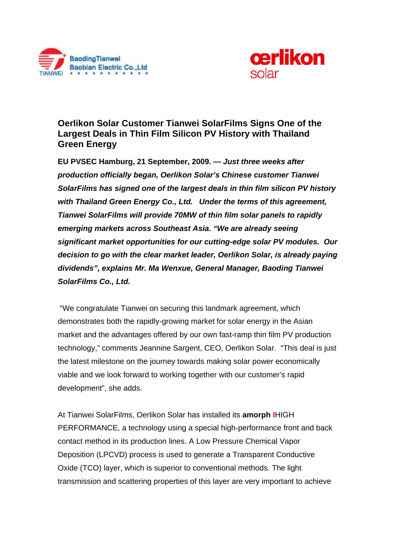



# **Oerlikon Solar Customer Tianwei SolarFilms Signs One of the Largest Deals in Thin Film Silicon PV History with Thailand Green Energy**

**EU PVSEC Hamburg, 21 September, 2009. —** *Just three weeks after production officially began, Oerlikon Solar's Chinese customer Tianwei SolarFilms has signed one of the largest deals in thin film silicon PV history with Thailand Green Energy Co., Ltd. Under the terms of this agreement, Tianwei SolarFilms will provide 70MW of thin film solar panels to rapidly emerging markets across Southeast Asia. "We are already seeing significant market opportunities for our cutting-edge solar PV modules. Our decision to go with the clear market leader, Oerlikon Solar, is already paying dividends", explains Mr. Ma Wenxue, General Manager, Baoding Tianwei SolarFilms Co., Ltd.* 

 "We congratulate Tianwei on securing this landmark agreement, which demonstrates both the rapidly-growing market for solar energy in the Asian market and the advantages offered by our own fast-ramp thin film PV production technology," comments Jeannine Sargent, CEO, Oerlikon Solar. "This deal is just the latest milestone on the journey towards making solar power economically viable and we look forward to working together with our customer's rapid development", she adds.

At Tianwei SolarFilms, Oerlikon Solar has installed its **amorph I**HIGH PERFORMANCE, a technology using a special high-performance front and back contact method in its production lines. A Low Pressure Chemical Vapor Deposition (LPCVD) process is used to generate a Transparent Conductive Oxide (TCO) layer, which is superior to conventional methods. The light transmission and scattering properties of this layer are very important to achieve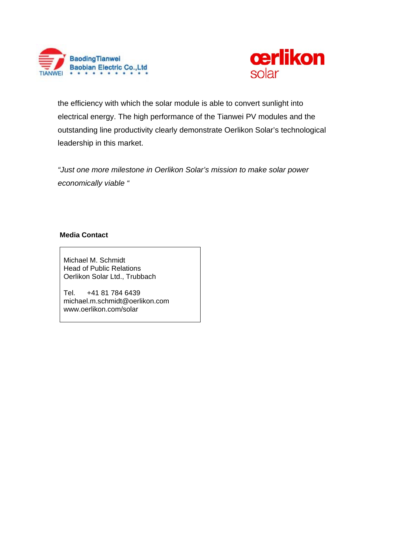



the efficiency with which the solar module is able to convert sunlight into electrical energy. The high performance of the Tianwei PV modules and the outstanding line productivity clearly demonstrate Oerlikon Solar's technological leadership in this market.

*"Just one more milestone in Oerlikon Solar's mission to make solar power economically viable "* 

## **Media Contact**

Michael M. Schmidt Head of Public Relations Oerlikon Solar Ltd., Trubbach

Tel. +41 81 784 6439 michael.m.schmidt@oerlikon.com www.oerlikon.com/solar